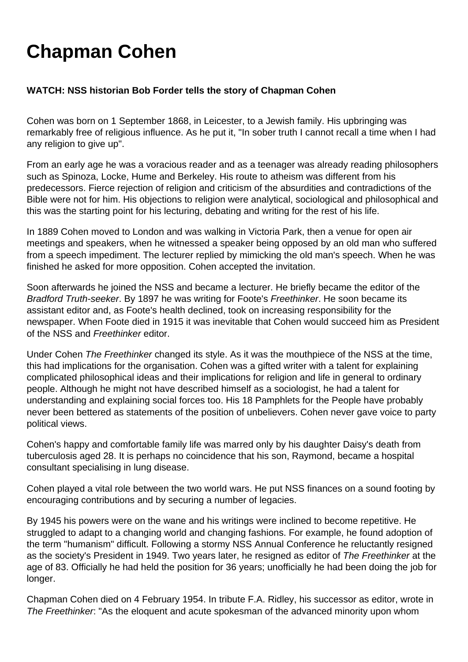## **Chapman Cohen**

## **WATCH: NSS historian Bob Forder tells the story of Chapman Cohen**

Cohen was born on 1 September 1868, in Leicester, to a Jewish family. His upbringing was remarkably free of religious influence. As he put it, "In sober truth I cannot recall a time when I had any religion to give up".

From an early age he was a voracious reader and as a teenager was already reading philosophers such as Spinoza, Locke, Hume and Berkeley. His route to atheism was different from his predecessors. Fierce rejection of religion and criticism of the absurdities and contradictions of the Bible were not for him. His objections to religion were analytical, sociological and philosophical and this was the starting point for his lecturing, debating and writing for the rest of his life.

In 1889 Cohen moved to London and was walking in Victoria Park, then a venue for open air meetings and speakers, when he witnessed a speaker being opposed by an old man who suffered from a speech impediment. The lecturer replied by mimicking the old man's speech. When he was finished he asked for more opposition. Cohen accepted the invitation.

Soon afterwards he joined the NSS and became a lecturer. He briefly became the editor of the Bradford Truth-seeker. By 1897 he was writing for Foote's Freethinker. He soon became its assistant editor and, as Foote's health declined, took on increasing responsibility for the newspaper. When Foote died in 1915 it was inevitable that Cohen would succeed him as President of the NSS and Freethinker editor.

Under Cohen The Freethinker changed its style. As it was the mouthpiece of the NSS at the time, this had implications for the organisation. Cohen was a gifted writer with a talent for explaining complicated philosophical ideas and their implications for religion and life in general to ordinary people. Although he might not have described himself as a sociologist, he had a talent for understanding and explaining social forces too. His 18 Pamphlets for the People have probably never been bettered as statements of the position of unbelievers. Cohen never gave voice to party political views.

Cohen's happy and comfortable family life was marred only by his daughter Daisy's death from tuberculosis aged 28. It is perhaps no coincidence that his son, Raymond, became a hospital consultant specialising in lung disease.

Cohen played a vital role between the two world wars. He put NSS finances on a sound footing by encouraging contributions and by securing a number of legacies.

By 1945 his powers were on the wane and his writings were inclined to become repetitive. He struggled to adapt to a changing world and changing fashions. For example, he found adoption of the term "humanism" difficult. Following a stormy NSS Annual Conference he reluctantly resigned as the society's President in 1949. Two years later, he resigned as editor of The Freethinker at the age of 83. Officially he had held the position for 36 years; unofficially he had been doing the job for longer.

Chapman Cohen died on 4 February 1954. In tribute F.A. Ridley, his successor as editor, wrote in The Freethinker. "As the eloquent and acute spokesman of the advanced minority upon whom